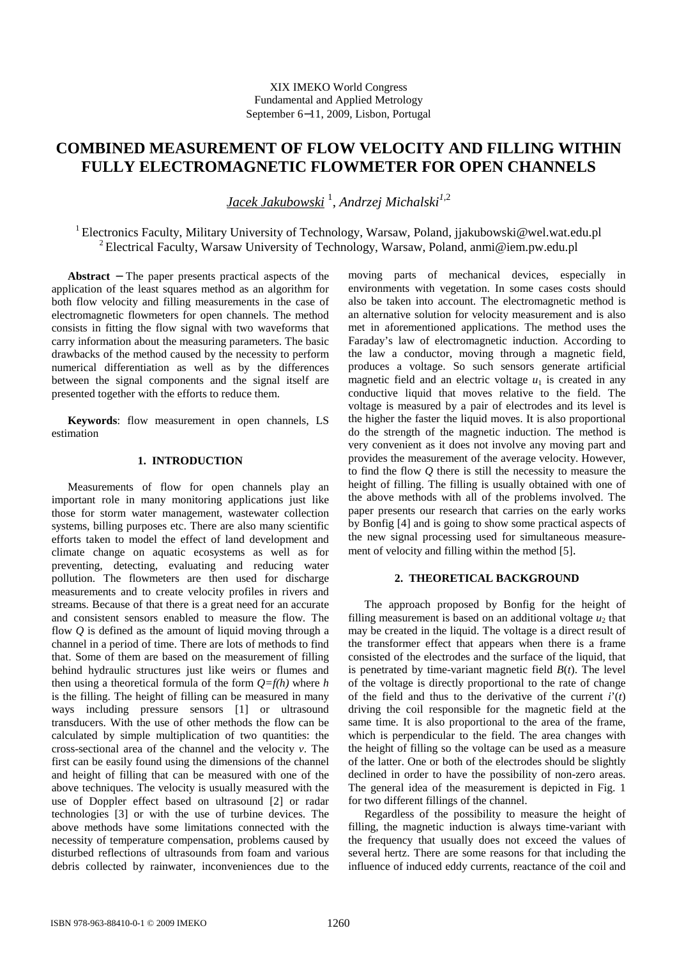# **COMBINED MEASUREMENT OF FLOW VELOCITY AND FILLING WITHIN FULLY ELECTROMAGNETIC FLOWMETER FOR OPEN CHANNELS**

*Jacek Jakubowski* <sup>1</sup> , *Andrzej Michalski1,*<sup>2</sup>

<sup>1</sup> Electronics Faculty, Military University of Technology, Warsaw, Poland, jjakubowski@wel.wat.edu.pl <sup>2</sup> Electrical Faculty, Warsaw University of Technology, Warsaw, Poland, anmi@iem.pw.edu.pl

**Abstract** − The paper presents practical aspects of the application of the least squares method as an algorithm for both flow velocity and filling measurements in the case of electromagnetic flowmeters for open channels. The method consists in fitting the flow signal with two waveforms that carry information about the measuring parameters. The basic drawbacks of the method caused by the necessity to perform numerical differentiation as well as by the differences between the signal components and the signal itself are presented together with the efforts to reduce them.

**Keywords**: flow measurement in open channels, LS estimation

#### **1. INTRODUCTION**

Measurements of flow for open channels play an important role in many monitoring applications just like those for storm water management, wastewater collection systems, billing purposes etc. There are also many scientific efforts taken to model the effect of land development and climate change on aquatic ecosystems as well as for preventing, detecting, evaluating and reducing water pollution. The flowmeters are then used for discharge measurements and to create velocity profiles in rivers and streams. Because of that there is a great need for an accurate and consistent sensors enabled to measure the flow. The flow *Q* is defined as the amount of liquid moving through a channel in a period of time. There are lots of methods to find that. Some of them are based on the measurement of filling behind hydraulic structures just like weirs or flumes and then using a theoretical formula of the form *Q=f(h)* where *h* is the filling. The height of filling can be measured in many ways including pressure sensors [1] or ultrasound transducers. With the use of other methods the flow can be calculated by simple multiplication of two quantities: the cross-sectional area of the channel and the velocity *v*. The first can be easily found using the dimensions of the channel and height of filling that can be measured with one of the above techniques. The velocity is usually measured with the use of Doppler effect based on ultrasound [2] or radar technologies [3] or with the use of turbine devices. The above methods have some limitations connected with the necessity of temperature compensation, problems caused by disturbed reflections of ultrasounds from foam and various debris collected by rainwater, inconveniences due to the

moving parts of mechanical devices, especially in environments with vegetation. In some cases costs should also be taken into account. The electromagnetic method is an alternative solution for velocity measurement and is also met in aforementioned applications. The method uses the Faraday's law of electromagnetic induction. According to the law a conductor, moving through a magnetic field, produces a voltage. So such sensors generate artificial magnetic field and an electric voltage  $u_1$  is created in any conductive liquid that moves relative to the field. The voltage is measured by a pair of electrodes and its level is the higher the faster the liquid moves. It is also proportional do the strength of the magnetic induction. The method is very convenient as it does not involve any moving part and provides the measurement of the average velocity. However, to find the flow *Q* there is still the necessity to measure the height of filling. The filling is usually obtained with one of the above methods with all of the problems involved. The paper presents our research that carries on the early works by Bonfig [4] and is going to show some practical aspects of the new signal processing used for simultaneous measurement of velocity and filling within the method [5].

## **2. THEORETICAL BACKGROUND**

The approach proposed by Bonfig for the height of filling measurement is based on an additional voltage  $u_2$  that may be created in the liquid. The voltage is a direct result of the transformer effect that appears when there is a frame consisted of the electrodes and the surface of the liquid, that is penetrated by time-variant magnetic field  $B(t)$ . The level of the voltage is directly proportional to the rate of change of the field and thus to the derivative of the current  $i'(t)$ driving the coil responsible for the magnetic field at the same time. It is also proportional to the area of the frame, which is perpendicular to the field. The area changes with the height of filling so the voltage can be used as a measure of the latter. One or both of the electrodes should be slightly declined in order to have the possibility of non-zero areas. The general idea of the measurement is depicted in Fig. 1 for two different fillings of the channel.

Regardless of the possibility to measure the height of filling, the magnetic induction is always time-variant with the frequency that usually does not exceed the values of several hertz. There are some reasons for that including the influence of induced eddy currents, reactance of the coil and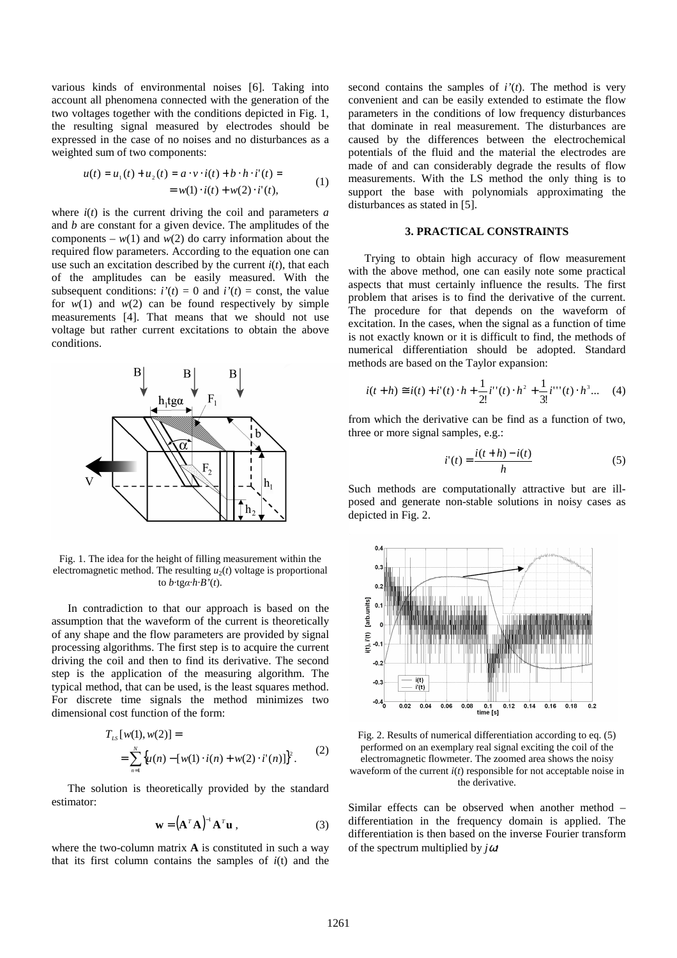various kinds of environmental noises [6]. Taking into account all phenomena connected with the generation of the two voltages together with the conditions depicted in Fig. 1, the resulting signal measured by electrodes should be expressed in the case of no noises and no disturbances as a weighted sum of two components:

$$
u(t) = u_1(t) + u_2(t) = a \cdot v \cdot i(t) + b \cdot h \cdot i'(t) =
$$
  
=  $w(1) \cdot i(t) + w(2) \cdot i'(t),$  (1)

where  $i(t)$  is the current driving the coil and parameters  $a$ and *b* are constant for a given device. The amplitudes of the components –  $w(1)$  and  $w(2)$  do carry information about the required flow parameters. According to the equation one can use such an excitation described by the current  $i(t)$ , that each of the amplitudes can be easily measured. With the subsequent conditions:  $i'(t) = 0$  and  $i'(t) =$  const, the value for  $w(1)$  and  $w(2)$  can be found respectively by simple measurements [4]. That means that we should not use voltage but rather current excitations to obtain the above conditions.



Fig. 1. The idea for the height of filling measurement within the electromagnetic method. The resulting  $u_2(t)$  voltage is proportional to *b*·tgα·*h*·*B'*(*t*).

In contradiction to that our approach is based on the assumption that the waveform of the current is theoretically of any shape and the flow parameters are provided by signal processing algorithms. The first step is to acquire the current driving the coil and then to find its derivative. The second step is the application of the measuring algorithm. The typical method, that can be used, is the least squares method. For discrete time signals the method minimizes two dimensional cost function of the form:

$$
T_{LS}[w(1), w(2)] =
$$
  
= 
$$
\sum_{n=1}^{N} \{u(n) - [w(1) \cdot i(n) + w(2) \cdot i'(n)]\}^{2}.
$$
 (2)

The solution is theoretically provided by the standard estimator:

$$
\mathbf{w} = (\mathbf{A}^T \mathbf{A})^{-1} \mathbf{A}^T \mathbf{u} \tag{3}
$$

where the two-column matrix **A** is constituted in such a way that its first column contains the samples of *i*(t) and the second contains the samples of *i'*(*t*). The method is very convenient and can be easily extended to estimate the flow parameters in the conditions of low frequency disturbances that dominate in real measurement. The disturbances are caused by the differences between the electrochemical potentials of the fluid and the material the electrodes are made of and can considerably degrade the results of flow measurements. With the LS method the only thing is to support the base with polynomials approximating the disturbances as stated in [5].

### **3. PRACTICAL CONSTRAINTS**

Trying to obtain high accuracy of flow measurement with the above method, one can easily note some practical aspects that must certainly influence the results. The first problem that arises is to find the derivative of the current. The procedure for that depends on the waveform of excitation. In the cases, when the signal as a function of time is not exactly known or it is difficult to find, the methods of numerical differentiation should be adopted. Standard methods are based on the Taylor expansion:

$$
i(t+h) \cong i(t) + i'(t) \cdot h + \frac{1}{2!} i''(t) \cdot h^2 + \frac{1}{3!} i'''(t) \cdot h^3 \dots \quad (4)
$$

from which the derivative can be find as a function of two, three or more signal samples, e.g.:

$$
i'(t) = \frac{i(t+h) - i(t)}{h} \tag{5}
$$

Such methods are computationally attractive but are illposed and generate non-stable solutions in noisy cases as depicted in Fig. 2.



Fig. 2. Results of numerical differentiation according to eq. (5) performed on an exemplary real signal exciting the coil of the electromagnetic flowmeter. The zoomed area shows the noisy waveform of the current *i*(*t*) responsible for not acceptable noise in the derivative.

Similar effects can be observed when another method – differentiation in the frequency domain is applied. The differentiation is then based on the inverse Fourier transform of the spectrum multiplied by *j*ω: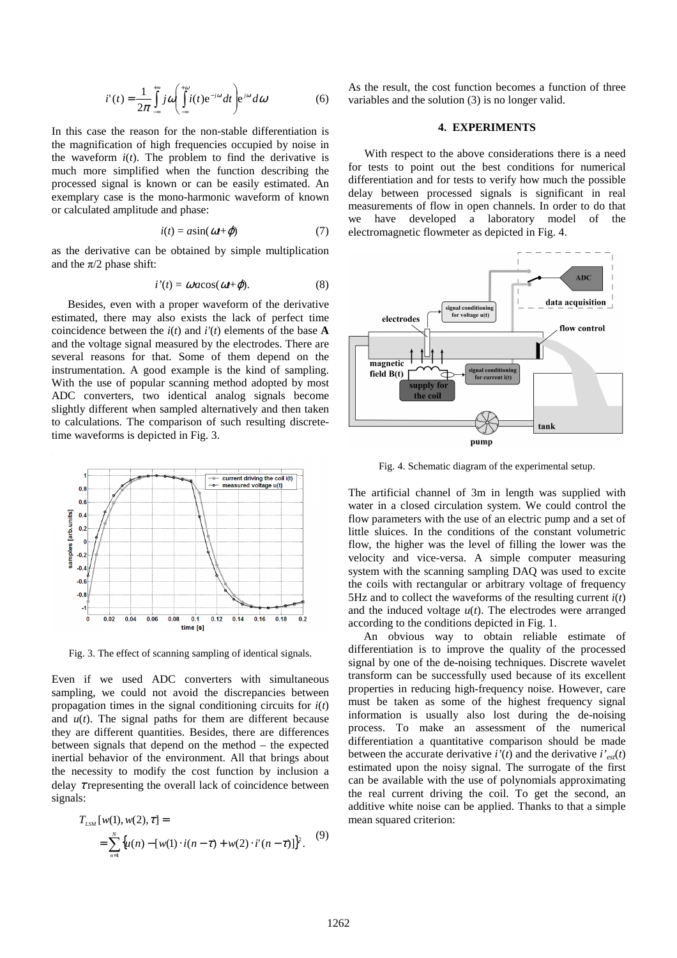$$
i'(t) = \frac{1}{2\pi} \int_{-\infty}^{+\infty} j \omega \left( \int_{-\infty}^{+\infty} i(t) e^{-j\omega t} dt \right) e^{j\omega t} d\omega \tag{6}
$$

In this case the reason for the non-stable differentiation is the magnification of high frequencies occupied by noise in the waveform  $i(t)$ . The problem to find the derivative is much more simplified when the function describing the processed signal is known or can be easily estimated. An exemplary case is the mono-harmonic waveform of known or calculated amplitude and phase:

$$
i(t) = a\sin(\omega t + \varphi) \tag{7}
$$

as the derivative can be obtained by simple multiplication and the  $\pi/2$  phase shift:

$$
i'(t) = \omega a \cos(\omega t + \varphi). \tag{8}
$$

Besides, even with a proper waveform of the derivative estimated, there may also exists the lack of perfect time coincidence between the  $i(t)$  and  $i'(t)$  elements of the base **A** and the voltage signal measured by the electrodes. There are several reasons for that. Some of them depend on the instrumentation. A good example is the kind of sampling. With the use of popular scanning method adopted by most ADC converters, two identical analog signals become slightly different when sampled alternatively and then taken to calculations. The comparison of such resulting discretetime waveforms is depicted in Fig. 3.



Fig. 3. The effect of scanning sampling of identical signals.

Even if we used ADC converters with simultaneous sampling, we could not avoid the discrepancies between propagation times in the signal conditioning circuits for *i*(*t*) and  $u(t)$ . The signal paths for them are different because they are different quantities. Besides, there are differences between signals that depend on the method – the expected inertial behavior of the environment. All that brings about the necessity to modify the cost function by inclusion a delay  $\tau$  representing the overall lack of coincidence between signals:

$$
T_{LSM}[w(1), w(2), \tau] =
$$
  
= 
$$
\sum_{n=1}^{N} \{u(n) - [w(1) \cdot i(n-\tau) + w(2) \cdot i'(n-\tau)]\}^{2}.
$$
 (9)

As the result, the cost function becomes a function of three variables and the solution (3) is no longer valid.

#### **4. EXPERIMENTS**

With respect to the above considerations there is a need for tests to point out the best conditions for numerical differentiation and for tests to verify how much the possible delay between processed signals is significant in real measurements of flow in open channels. In order to do that we have developed a laboratory model of the electromagnetic flowmeter as depicted in Fig. 4.



Fig. 4. Schematic diagram of the experimental setup.

The artificial channel of 3m in length was supplied with water in a closed circulation system. We could control the flow parameters with the use of an electric pump and a set of little sluices. In the conditions of the constant volumetric flow, the higher was the level of filling the lower was the velocity and vice-versa. A simple computer measuring system with the scanning sampling DAQ was used to excite the coils with rectangular or arbitrary voltage of frequency 5Hz and to collect the waveforms of the resulting current  $i(t)$ and the induced voltage  $u(t)$ . The electrodes were arranged according to the conditions depicted in Fig. 1.

An obvious way to obtain reliable estimate of differentiation is to improve the quality of the processed signal by one of the de-noising techniques. Discrete wavelet transform can be successfully used because of its excellent properties in reducing high-frequency noise. However, care must be taken as some of the highest frequency signal information is usually also lost during the de-noising process. To make an assessment of the numerical differentiation a quantitative comparison should be made between the accurate derivative  $i'(t)$  and the derivative  $i'_{est}(t)$ estimated upon the noisy signal. The surrogate of the first can be available with the use of polynomials approximating the real current driving the coil. To get the second, an additive white noise can be applied. Thanks to that a simple mean squared criterion: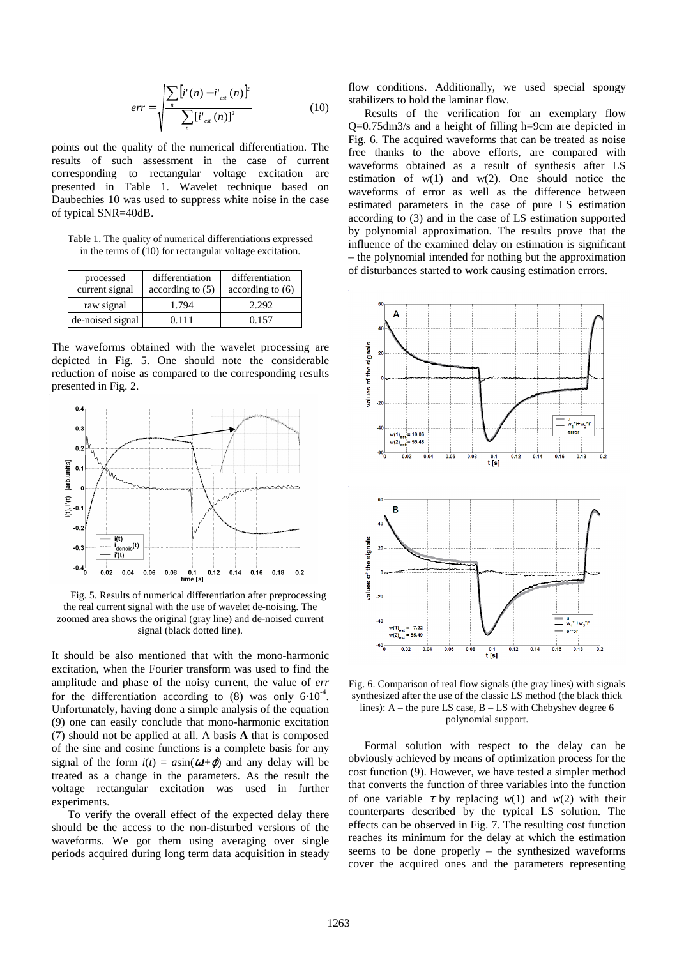$$
err = \sqrt{\frac{\sum_{n} [i'(n) - i'_{est}(n)]^2}{\sum_{n} [i'_{est}(n)]^2}}
$$
(10)

points out the quality of the numerical differentiation. The results of such assessment in the case of current corresponding to rectangular voltage excitation are presented in Table 1. Wavelet technique based on Daubechies 10 was used to suppress white noise in the case of typical SNR=40dB.

Table 1. The quality of numerical differentiations expressed in the terms of (10) for rectangular voltage excitation.

| processed<br>current signal | differentiation<br>according to $(5)$ | differentiation<br>according to $(6)$ |
|-----------------------------|---------------------------------------|---------------------------------------|
| raw signal                  | 1.794                                 | 2.292                                 |
| de-noised signal            | 0.111                                 | 0.157                                 |

The waveforms obtained with the wavelet processing are depicted in Fig. 5. One should note the considerable reduction of noise as compared to the corresponding results presented in Fig. 2.



Fig. 5. Results of numerical differentiation after preprocessing the real current signal with the use of wavelet de-noising. The zoomed area shows the original (gray line) and de-noised current signal (black dotted line).

It should be also mentioned that with the mono-harmonic excitation, when the Fourier transform was used to find the amplitude and phase of the noisy current, the value of *err* for the differentiation according to (8) was only  $6·10^{-4}$ . Unfortunately, having done a simple analysis of the equation (9) one can easily conclude that mono-harmonic excitation (7) should not be applied at all. A basis **A** that is composed of the sine and cosine functions is a complete basis for any signal of the form  $i(t) = a\sin(\omega t + \varphi)$  and any delay will be treated as a change in the parameters. As the result the voltage rectangular excitation was used in further experiments.

To verify the overall effect of the expected delay there should be the access to the non-disturbed versions of the waveforms. We got them using averaging over single periods acquired during long term data acquisition in steady flow conditions. Additionally, we used special spongy stabilizers to hold the laminar flow.

Results of the verification for an exemplary flow Q=0.75dm3/s and a height of filling h=9cm are depicted in Fig. 6. The acquired waveforms that can be treated as noise free thanks to the above efforts, are compared with waveforms obtained as a result of synthesis after LS estimation of  $w(1)$  and  $w(2)$ . One should notice the waveforms of error as well as the difference between estimated parameters in the case of pure LS estimation according to (3) and in the case of LS estimation supported by polynomial approximation. The results prove that the influence of the examined delay on estimation is significant – the polynomial intended for nothing but the approximation of disturbances started to work causing estimation errors.



Fig. 6. Comparison of real flow signals (the gray lines) with signals synthesized after the use of the classic LS method (the black thick lines): A – the pure LS case, B – LS with Chebyshev degree 6 polynomial support.

Formal solution with respect to the delay can be obviously achieved by means of optimization process for the cost function (9). However, we have tested a simpler method that converts the function of three variables into the function of one variable  $\tau$  by replacing  $w(1)$  and  $w(2)$  with their counterparts described by the typical LS solution. The effects can be observed in Fig. 7. The resulting cost function reaches its minimum for the delay at which the estimation seems to be done properly – the synthesized waveforms cover the acquired ones and the parameters representing